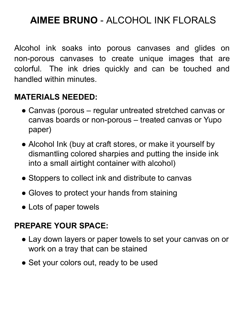## **AIMEE BRUNO** - ALCOHOL INK FLORALS

Alcohol ink soaks into porous canvases and glides on non-porous canvases to create unique images that are colorful. The ink dries quickly and can be touched and handled within minutes.

## **MATERIALS NEEDED:**

- Canvas (porous regular untreated stretched canvas or canvas boards or non-porous – treated canvas or Yupo paper)
- Alcohol Ink (buy at craft stores, or make it yourself by dismantling colored sharpies and putting the inside ink into a small airtight container with alcohol)
- Stoppers to collect ink and distribute to canvas
- Gloves to protect your hands from staining
- Lots of paper towels

## **PREPARE YOUR SPACE:**

- Lay down layers or paper towels to set your canvas on or work on a tray that can be stained
- Set your colors out, ready to be used